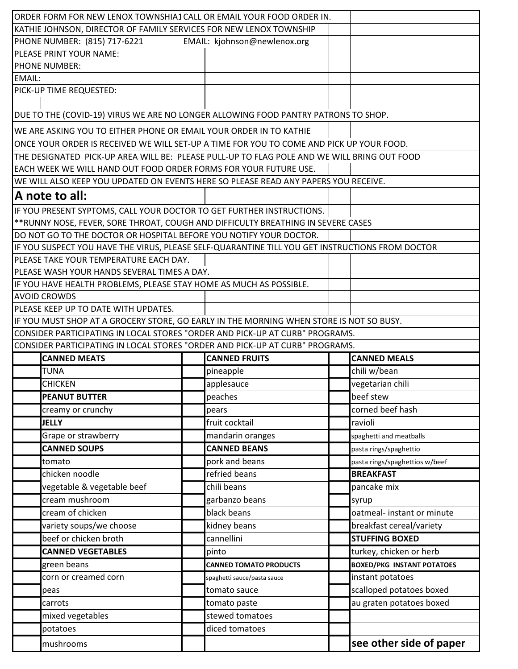| ORDER FORM FOR NEW LENOX TOWNSHIA1 CALL OR EMAIL YOUR FOOD ORDER IN.                            |  |                               |                                   |  |
|-------------------------------------------------------------------------------------------------|--|-------------------------------|-----------------------------------|--|
| KATHIE JOHNSON, DIRECTOR OF FAMILY SERVICES FOR NEW LENOX TOWNSHIP                              |  |                               |                                   |  |
| PHONE NUMBER: (815) 717-6221                                                                    |  | EMAIL: kjohnson@newlenox.org  |                                   |  |
| PLEASE PRINT YOUR NAME:                                                                         |  |                               |                                   |  |
| <b>PHONE NUMBER:</b>                                                                            |  |                               |                                   |  |
| EMAIL:                                                                                          |  |                               |                                   |  |
| PICK-UP TIME REQUESTED:                                                                         |  |                               |                                   |  |
|                                                                                                 |  |                               |                                   |  |
| DUE TO THE (COVID-19) VIRUS WE ARE NO LONGER ALLOWING FOOD PANTRY PATRONS TO SHOP.              |  |                               |                                   |  |
| WE ARE ASKING YOU TO EITHER PHONE OR EMAIL YOUR ORDER IN TO KATHIE                              |  |                               |                                   |  |
| ONCE YOUR ORDER IS RECEIVED WE WILL SET-UP A TIME FOR YOU TO COME AND PICK UP YOUR FOOD.        |  |                               |                                   |  |
| THE DESIGNATED PICK-UP AREA WILL BE: PLEASE PULL-UP TO FLAG POLE AND WE WILL BRING OUT FOOD     |  |                               |                                   |  |
| EACH WEEK WE WILL HAND OUT FOOD ORDER FORMS FOR YOUR FUTURE USE.                                |  |                               |                                   |  |
| WE WILL ALSO KEEP YOU UPDATED ON EVENTS HERE SO PLEASE READ ANY PAPERS YOU RECEIVE.             |  |                               |                                   |  |
| A note to all:                                                                                  |  |                               |                                   |  |
| IF YOU PRESENT SYPTOMS, CALL YOUR DOCTOR TO GET FURTHER INSTRUCTIONS.                           |  |                               |                                   |  |
| ** RUNNY NOSE, FEVER, SORE THROAT, COUGH AND DIFFICULTY BREATHING IN SEVERE CASES               |  |                               |                                   |  |
| DO NOT GO TO THE DOCTOR OR HOSPITAL BEFORE YOU NOTIFY YOUR DOCTOR.                              |  |                               |                                   |  |
| IF YOU SUSPECT YOU HAVE THE VIRUS, PLEASE SELF-QUARANTINE TILL YOU GET INSTRUCTIONS FROM DOCTOR |  |                               |                                   |  |
| PLEASE TAKE YOUR TEMPERATURE EACH DAY.                                                          |  |                               |                                   |  |
| PLEASE WASH YOUR HANDS SEVERAL TIMES A DAY.                                                     |  |                               |                                   |  |
| IF YOU HAVE HEALTH PROBLEMS, PLEASE STAY HOME AS MUCH AS POSSIBLE.                              |  |                               |                                   |  |
| <b>AVOID CROWDS</b>                                                                             |  |                               |                                   |  |
| PLEASE KEEP UP TO DATE WITH UPDATES.                                                            |  |                               |                                   |  |
| IF YOU MUST SHOP AT A GROCERY STORE, GO EARLY IN THE MORNING WHEN STORE IS NOT SO BUSY.         |  |                               |                                   |  |
|                                                                                                 |  |                               |                                   |  |
| CONSIDER PARTICIPATING IN LOCAL STORES "ORDER AND PICK-UP AT CURB" PROGRAMS.                    |  |                               |                                   |  |
| CONSIDER PARTICIPATING IN LOCAL STORES "ORDER AND PICK-UP AT CURB" PROGRAMS.                    |  |                               |                                   |  |
| <b>CANNED MEATS</b>                                                                             |  | <b>CANNED FRUITS</b>          | <b>CANNED MEALS</b>               |  |
| <b>TUNA</b>                                                                                     |  | pineapple                     | chili w/bean                      |  |
| <b>CHICKEN</b>                                                                                  |  | applesauce                    | vegetarian chili                  |  |
| <b>PEANUT BUTTER</b>                                                                            |  | peaches                       | beef stew                         |  |
| creamy or crunchy                                                                               |  | pears                         | corned beef hash                  |  |
| <b>JELLY</b>                                                                                    |  | fruit cocktail                | ravioli                           |  |
| Grape or strawberry                                                                             |  | mandarin oranges              | spaghetti and meatballs           |  |
| <b>CANNED SOUPS</b>                                                                             |  | <b>CANNED BEANS</b>           | pasta rings/spaghettio            |  |
| tomato                                                                                          |  | pork and beans                | pasta rings/spaghettios w/beef    |  |
| chicken noodle                                                                                  |  | refried beans                 | <b>BREAKFAST</b>                  |  |
| vegetable & vegetable beef                                                                      |  | chili beans                   | pancake mix                       |  |
| cream mushroom                                                                                  |  | garbanzo beans                | syrup                             |  |
| cream of chicken                                                                                |  | black beans                   | oatmeal- instant or minute        |  |
| variety soups/we choose                                                                         |  | kidney beans                  | breakfast cereal/variety          |  |
| beef or chicken broth                                                                           |  | cannellini                    | <b>STUFFING BOXED</b>             |  |
| <b>CANNED VEGETABLES</b>                                                                        |  | pinto                         | turkey, chicken or herb           |  |
| green beans                                                                                     |  | <b>CANNED TOMATO PRODUCTS</b> | <b>BOXED/PKG INSTANT POTATOES</b> |  |
| corn or creamed corn                                                                            |  | spaghetti sauce/pasta sauce   | instant potatoes                  |  |
| peas                                                                                            |  | tomato sauce                  | scalloped potatoes boxed          |  |
| carrots                                                                                         |  | tomato paste                  | au graten potatoes boxed          |  |
| mixed vegetables                                                                                |  | stewed tomatoes               |                                   |  |
| potatoes                                                                                        |  | diced tomatoes                |                                   |  |